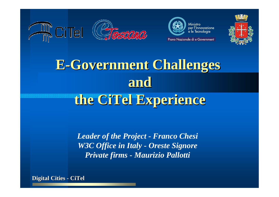



Piano Nazionale di e-Government



# **E-Government Challenges and** the CiTel Experience

*Leader of the Project - Franco Chesi W3C Office in Italy - Oreste Signore Private firms - Maurizio Pallotti*

**Digital Digital Cities - CiTel**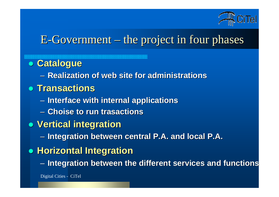

### $E$ -Government – the project in four phases

z **Catalogue Catalogue**

– **Realization Realization of web site of web site for administrations administrations**

- z **Transactions Transactions**
	- $\mathcal{L}_{\mathcal{A}}$ **Interface Interface with internal internal applications applications**
	- **Choise to run trasactions trasactions**
- z **Vertical Vertical integration integration**
	- $\sim$ **Integration Integration between between central central P.A. and P.A. and local P.A.**
- $\bullet$  **Horizontal Horizontal Integration Integration**
	- –**Integration Integration between between the different different services and services and functions functions**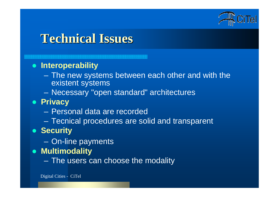

### **Technical Technical Issues**

#### $\bullet$ **Interoperability**

- $\sim$  The new systems between each other and with the existent systems
- $\sim$ Necessary "open standard" architectures
- $\bullet$  **Privacy**
	- Personal data are recorded
	- $\sim$ Tecnical procedures are solid and transparent

#### **• Security**

- $\mathcal{L}_{\mathcal{A}}$ On-line payments
- **Multimodality** 
	- –The users can choose the modality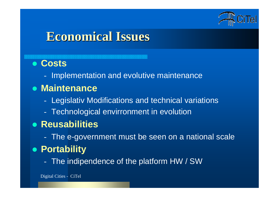

### **Economical Economical Issues**

#### z **Costs**

- Implementation and evolutive maintenance

#### **• Maintenance**

- -Legislativ Modifications and technical variations
- Technological envirronment in evolution

### **• Reusabilities**

The e-government must be seen on a national scale

#### $\bullet$ **Portability**

The indipendence of the platform HW / SW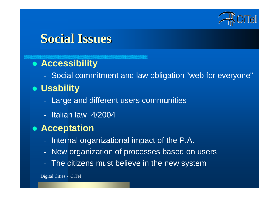

### **Social Issues**

### **• Accessibility**

Social commitment and law obligation "web for everyone"

### **• Usability**

- Large and different users communities
- Italian law 4/2004

#### **• Acceptation**

- -Internal organizational impact of the P.A.
- -New organization of processes based on users
- The citizens must believe in the new system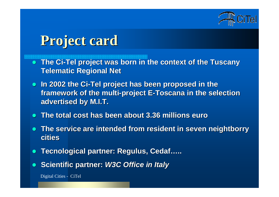

# **Project card Project card**

- $\bullet$ **The Ci-Tel project was born in the context of the Tuscany Telematic Regional Net Telematic Regional Net**
- **In 2002 the Ci-Tel project has been proposed in the framework of the multi-project E-Toscana in the selection advertised by M.I.T. advertised by M.I.T.**
- $\bullet$ **The total The total cost has been about 3.36 millions euro 3.36 millions euro**
- $\bullet$  **The service service are intended intended from resident resident in seven neightborry neightborry cities**
- $\bullet$ **Tecnological Tecnological partner: Regulus, partner: Regulus, Cedaf…..**
- $\bullet$ **Scientific Scientific partner: partner:** *W3C Office in W3C Office in Italy*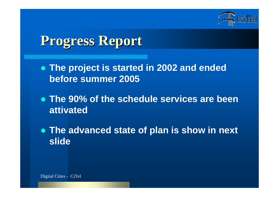

# **Progress Progress Report**

- z **The project is started in 2002 and ended before summer 2005**
- z **The 90% of the schedule services are been attivated**
- z **The advanced state of plan is show in next slide**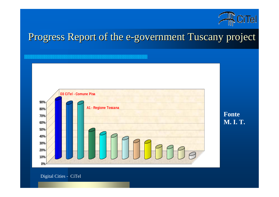

# Progress Report of the e-government Tuscany project



**Fonte M. I. T.**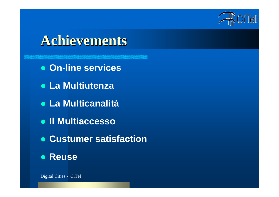

## **Achievements Achievements**

- z **On-line services**
- z **La Multiutenza**
- z **La Multicanalità**
- z **Il Multiaccesso**
- z **Custumer satisfaction**
- z **Reuse**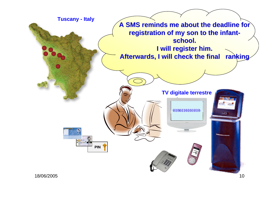

18/06/2005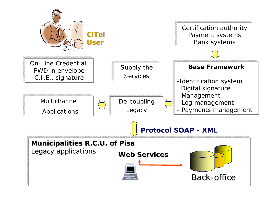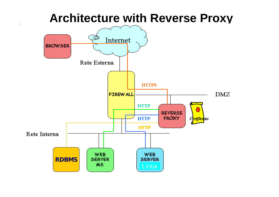### **Architecture with Reverse Proxy**

 $\overline{1}$ 

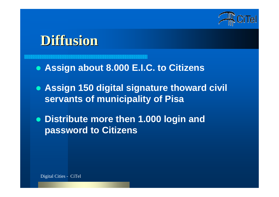

# **Diffusion Diffusion**

- z **Assign about 8.000 E.I.C. to Citizens**
- z **Assign 150 digital signature thoward civil servants of municipality of Pisa**
- z **Distribute more then 1.000 login and password to Citizens**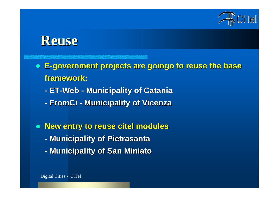

## **Reuse**

#### $\bullet$  **E-government government projects projects are goingo to reuse the base the base framework: framework:**

- **- ET-Web - Municipality Municipality of Catania of Catania**
- **-FromCi - Municipality Municipality of Vicenza of Vicenza**
- **New entry to reuse citel modules - Municipality Municipality of Pietrasanta of Pietrasanta**
	- **-Municipality Municipality of San Miniato of San Miniato**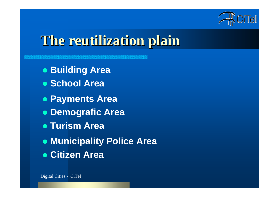

# **The reutilization reutilization plain**

- z **Building Area**
- z **School Area**
- z **Payments Area**
- z **Demografic Area**
- z **Turism Area**
- z **Municipality Police Area**
- **Citizen Area**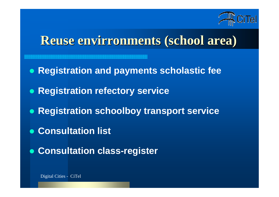

## **Reuse envirronments envirronments (school area)**

- $\bullet$ **Registration and payments scholastic fee**
- $\bullet$ **Registration refectory service**
- $\bullet$ **Registration schoolboy transport service**
- z **Consultation list**
- z **Consultation class-register**